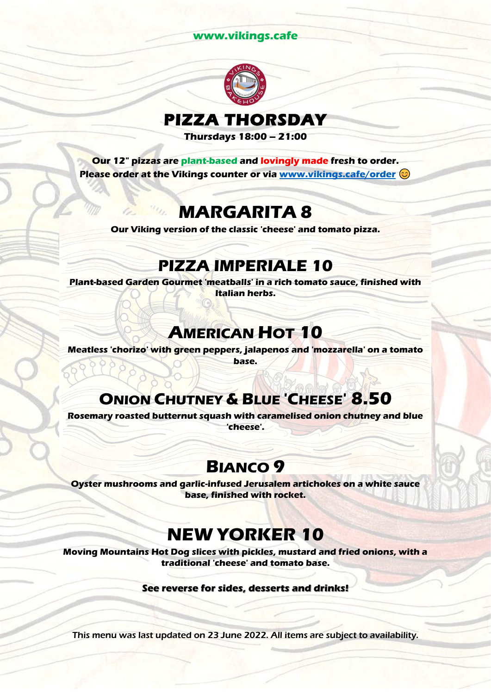#### **www.vikings.cafe**



# **PIZZA THORSDAY**

**Thursdays 18:00 – 21:00**

**Our 12" pizzas are plant-based and lovingly made fresh to order. Please order at the Vikings counter or via [www.vikings.cafe/order](http://www.vikings.cafe/order)**

#### **MARGARITA 8**

**Our Viking version of the classic 'cheese' and tomato pizza.**

#### **PIZZA IMPERIALE 10**

**Plant-based Garden Gourmet 'meatballs' in a rich tomato sauce, finished with Italian herbs.**

### **AMERICAN HOT 10**

**Meatless 'chorizo' with green peppers, jalapenos and 'mozzarella' on a tomato base.**

#### **ONION CHUTNEY & BLUE 'CHEESE' 8.50**

**Rosemary roasted butternut squash with caramelised onion chutney and blue 'cheese'.**

#### **BIANCO 9**

**Oyster mushrooms and garlic-infused Jerusalem artichokes on a white sauce base, finished with rocket.**

### **NEW YORKER 10**

**Moving Mountains Hot Dog slices with pickles, mustard and fried onions, with a traditional 'cheese' and tomato base.**

**See reverse for sides, desserts and drinks!**

This menu was last updated on 23 June 2022. All items are subject to availability.